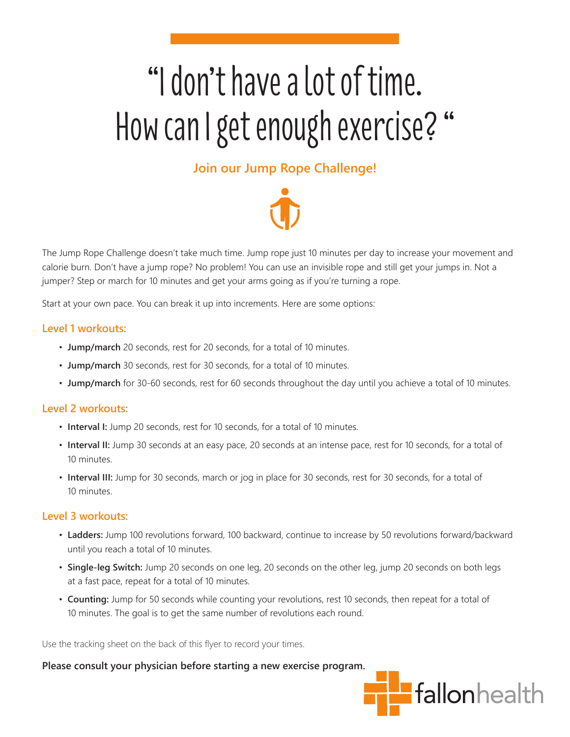# "I don't have a lot of time. How can I get enough exercise? "

### **Join our Jump Rope Challenge!**



The Jump Rope Challenge doesn't take much time. Jump rope just 10 minutes per day to increase your movement and calorie burn. Don't have a jump rope? No problem! You can use an invisible rope and still get your jumps in. Not a jumper? Step or march for 10 minutes and get your arms going as if you're turning a rope.

Start at your own pace. You can break it up into increments. Here are some options:

### **Level 1 workouts:**

- **Jump/march** 20 seconds, rest for 20 seconds, for a total of 10 minutes.
- **Jump/march** 30 seconds, rest for 30 seconds, for a total of 10 minutes.
- **Jump/march** for 30-60 seconds, rest for 60 seconds throughout the day until you achieve a total of 10 minutes.

### **Level 2 workouts:**

- **Interval I:** Jump 20 seconds, rest for 10 seconds, for a total of 10 minutes.
- **Interval II:** Jump 30 seconds at an easy pace, 20 seconds at an intense pace, rest for 10 seconds, for a total of 10 minutes.
- **Interval III:** Jump for 30 seconds, march or jog in place for 30 seconds, rest for 30 seconds, for a total of 10 minutes.

### **Level 3 workouts:**

- **Ladders:** Jump 100 revolutions forward, 100 backward, continue to increase by 50 revolutions forward/backward until you reach a total of 10 minutes.
- **Single-leg Switch:** Jump 20 seconds on one leg, 20 seconds on the other leg, jump 20 seconds on both legs at a fast pace, repeat for a total of 10 minutes.
- **Counting:** Jump for 50 seconds while counting your revolutions, rest 10 seconds, then repeat for a total of 10 minutes. The goal is to get the same number of revolutions each round.

Use the tracking sheet on the back of this flyer to record your times.

#### **Please consult your physician before starting a new exercise program.**